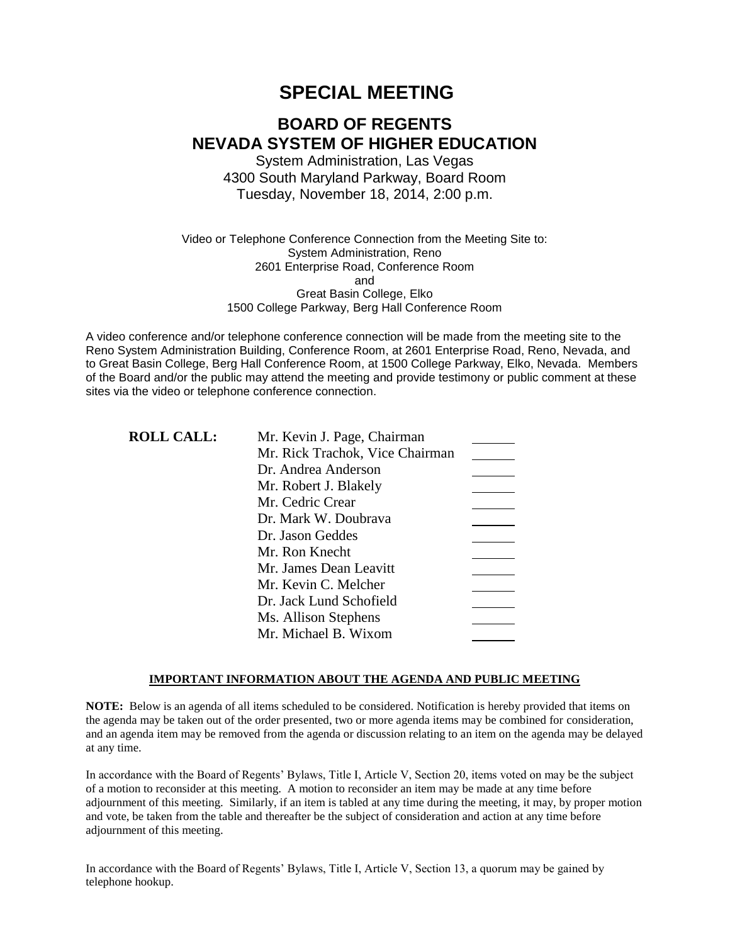# **SPECIAL MEETING**

# **BOARD OF REGENTS NEVADA SYSTEM OF HIGHER EDUCATION**

System Administration, Las Vegas 4300 South Maryland Parkway, Board Room Tuesday, November 18, 2014, 2:00 p.m.

Video or Telephone Conference Connection from the Meeting Site to: System Administration, Reno 2601 Enterprise Road, Conference Room and Great Basin College, Elko 1500 College Parkway, Berg Hall Conference Room

A video conference and/or telephone conference connection will be made from the meeting site to the Reno System Administration Building, Conference Room, at 2601 Enterprise Road, Reno, Nevada, and to Great Basin College, Berg Hall Conference Room, at 1500 College Parkway, Elko, Nevada. Members of the Board and/or the public may attend the meeting and provide testimony or public comment at these sites via the video or telephone conference connection.

| <b>ROLL CALL:</b> | Mr. Kevin J. Page, Chairman     |  |
|-------------------|---------------------------------|--|
|                   | Mr. Rick Trachok, Vice Chairman |  |
|                   | Dr. Andrea Anderson             |  |
|                   | Mr. Robert J. Blakely           |  |
|                   | Mr. Cedric Crear                |  |
|                   | Dr. Mark W. Doubrava            |  |
|                   | Dr. Jason Geddes                |  |
|                   | Mr. Ron Knecht                  |  |
|                   | Mr. James Dean Leavitt          |  |
|                   | Mr. Kevin C. Melcher            |  |
|                   | Dr. Jack Lund Schofield         |  |
|                   | Ms. Allison Stephens            |  |
|                   | Mr. Michael B. Wixom            |  |

### **IMPORTANT INFORMATION ABOUT THE AGENDA AND PUBLIC MEETING**

**NOTE:** Below is an agenda of all items scheduled to be considered. Notification is hereby provided that items on the agenda may be taken out of the order presented, two or more agenda items may be combined for consideration, and an agenda item may be removed from the agenda or discussion relating to an item on the agenda may be delayed at any time.

In accordance with the Board of Regents' Bylaws, Title I, Article V, Section 20, items voted on may be the subject of a motion to reconsider at this meeting. A motion to reconsider an item may be made at any time before adjournment of this meeting. Similarly, if an item is tabled at any time during the meeting, it may, by proper motion and vote, be taken from the table and thereafter be the subject of consideration and action at any time before adjournment of this meeting.

In accordance with the Board of Regents' Bylaws, Title I, Article V, Section 13, a quorum may be gained by telephone hookup.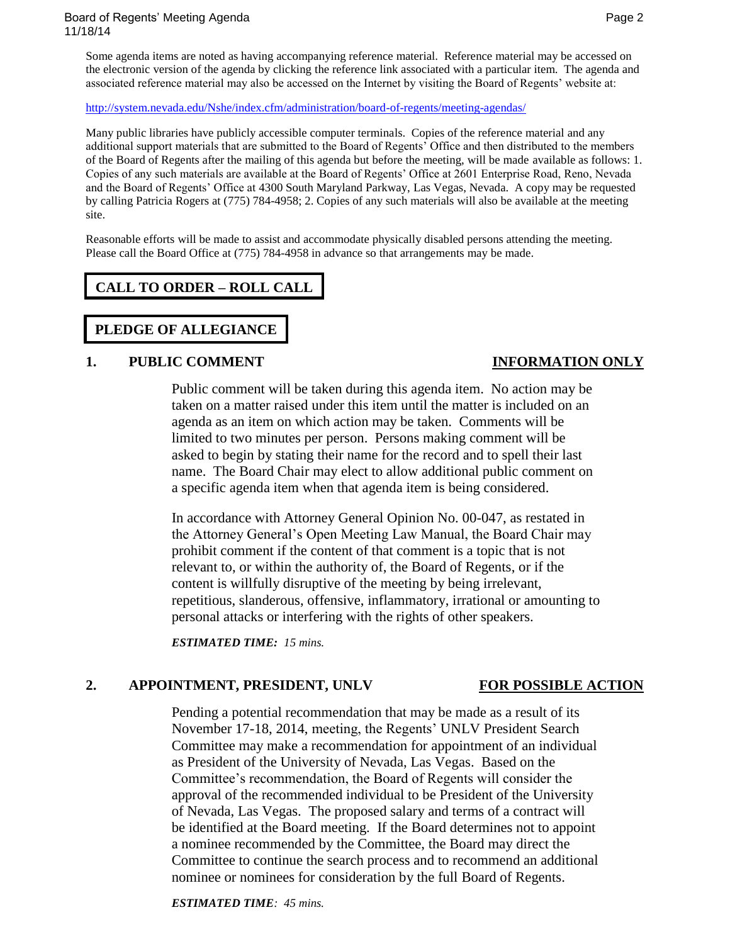Board of Regents' Meeting Agenda Page 2 and 2008 and 2009 and 2009 and 2009 and 2009 and 2009 and 2009 and 200 11/18/14

Some agenda items are noted as having accompanying reference material. Reference material may be accessed on the electronic version of the agenda by clicking the reference link associated with a particular item. The agenda and associated reference material may also be accessed on the Internet by visiting the Board of Regents' website at:

<http://system.nevada.edu/Nshe/index.cfm/administration/board-of-regents/meeting-agendas/>

Many public libraries have publicly accessible computer terminals. Copies of the reference material and any additional support materials that are submitted to the Board of Regents' Office and then distributed to the members of the Board of Regents after the mailing of this agenda but before the meeting, will be made available as follows: 1. Copies of any such materials are available at the Board of Regents' Office at 2601 Enterprise Road, Reno, Nevada and the Board of Regents' Office at 4300 South Maryland Parkway, Las Vegas, Nevada. A copy may be requested by calling Patricia Rogers at (775) 784-4958; 2. Copies of any such materials will also be available at the meeting site.

Reasonable efforts will be made to assist and accommodate physically disabled persons attending the meeting. Please call the Board Office at (775) 784-4958 in advance so that arrangements may be made.

# **CALL TO ORDER – ROLL CALL**

## **PLEDGE OF ALLEGIANCE**

### **1. PUBLIC COMMENT INFORMATION ONLY**

Public comment will be taken during this agenda item. No action may be taken on a matter raised under this item until the matter is included on an agenda as an item on which action may be taken. Comments will be limited to two minutes per person. Persons making comment will be asked to begin by stating their name for the record and to spell their last name. The Board Chair may elect to allow additional public comment on a specific agenda item when that agenda item is being considered.

In accordance with Attorney General Opinion No. 00-047, as restated in the Attorney General's Open Meeting Law Manual, the Board Chair may prohibit comment if the content of that comment is a topic that is not relevant to, or within the authority of, the Board of Regents, or if the content is willfully disruptive of the meeting by being irrelevant, repetitious, slanderous, offensive, inflammatory, irrational or amounting to personal attacks or interfering with the rights of other speakers.

*ESTIMATED TIME: 15 mins.*

### **2. APPOINTMENT, PRESIDENT, UNLV FOR POSSIBLE ACTION**

Pending a potential recommendation that may be made as a result of its November 17-18, 2014, meeting, the Regents' UNLV President Search Committee may make a recommendation for appointment of an individual as President of the University of Nevada, Las Vegas. Based on the Committee's recommendation, the Board of Regents will consider the approval of the recommended individual to be President of the University of Nevada, Las Vegas. The proposed salary and terms of a contract will be identified at the Board meeting. If the Board determines not to appoint a nominee recommended by the Committee, the Board may direct the Committee to continue the search process and to recommend an additional nominee or nominees for consideration by the full Board of Regents.

*ESTIMATED TIME: 45 mins.*